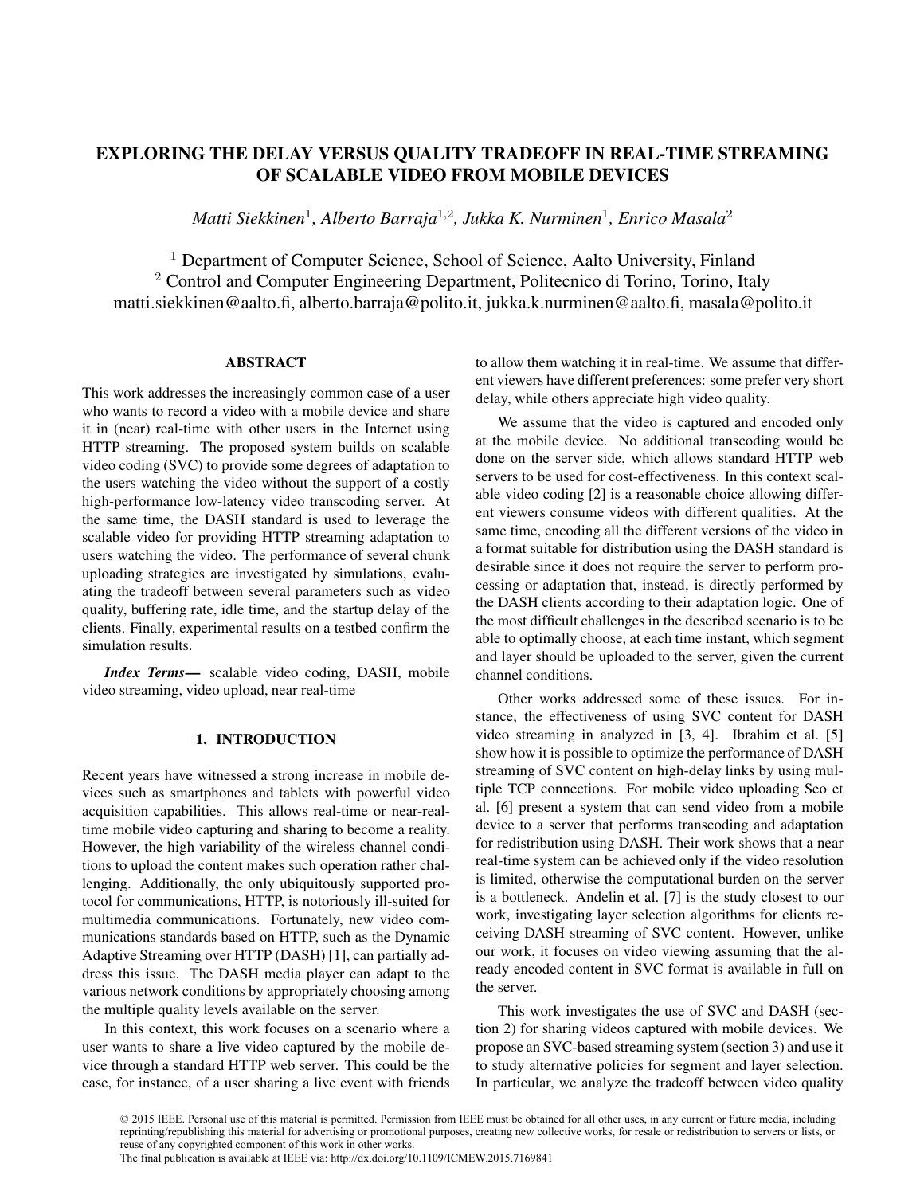# EXPLORING THE DELAY VERSUS QUALITY TRADEOFF IN REAL-TIME STREAMING OF SCALABLE VIDEO FROM MOBILE DEVICES

*Matti Siekkinen*<sup>1</sup> *, Alberto Barraja*<sup>1</sup>,<sup>2</sup> *, Jukka K. Nurminen*<sup>1</sup> *, Enrico Masala*<sup>2</sup>

<sup>1</sup> Department of Computer Science, School of Science, Aalto University, Finland <sup>2</sup> Control and Computer Engineering Department, Politecnico di Torino, Torino, Italy matti.siekkinen@aalto.fi, alberto.barraja@polito.it, jukka.k.nurminen@aalto.fi, masala@polito.it

### ABSTRACT

This work addresses the increasingly common case of a user who wants to record a video with a mobile device and share it in (near) real-time with other users in the Internet using HTTP streaming. The proposed system builds on scalable video coding (SVC) to provide some degrees of adaptation to the users watching the video without the support of a costly high-performance low-latency video transcoding server. At the same time, the DASH standard is used to leverage the scalable video for providing HTTP streaming adaptation to users watching the video. The performance of several chunk uploading strategies are investigated by simulations, evaluating the tradeoff between several parameters such as video quality, buffering rate, idle time, and the startup delay of the clients. Finally, experimental results on a testbed confirm the simulation results.

*Index Terms*— scalable video coding, DASH, mobile video streaming, video upload, near real-time

# 1. INTRODUCTION

Recent years have witnessed a strong increase in mobile devices such as smartphones and tablets with powerful video acquisition capabilities. This allows real-time or near-realtime mobile video capturing and sharing to become a reality. However, the high variability of the wireless channel conditions to upload the content makes such operation rather challenging. Additionally, the only ubiquitously supported protocol for communications, HTTP, is notoriously ill-suited for multimedia communications. Fortunately, new video communications standards based on HTTP, such as the Dynamic Adaptive Streaming over HTTP (DASH) [1], can partially address this issue. The DASH media player can adapt to the various network conditions by appropriately choosing among the multiple quality levels available on the server.

In this context, this work focuses on a scenario where a user wants to share a live video captured by the mobile device through a standard HTTP web server. This could be the case, for instance, of a user sharing a live event with friends to allow them watching it in real-time. We assume that different viewers have different preferences: some prefer very short delay, while others appreciate high video quality.

We assume that the video is captured and encoded only at the mobile device. No additional transcoding would be done on the server side, which allows standard HTTP web servers to be used for cost-effectiveness. In this context scalable video coding [2] is a reasonable choice allowing different viewers consume videos with different qualities. At the same time, encoding all the different versions of the video in a format suitable for distribution using the DASH standard is desirable since it does not require the server to perform processing or adaptation that, instead, is directly performed by the DASH clients according to their adaptation logic. One of the most difficult challenges in the described scenario is to be able to optimally choose, at each time instant, which segment and layer should be uploaded to the server, given the current channel conditions.

Other works addressed some of these issues. For instance, the effectiveness of using SVC content for DASH video streaming in analyzed in [3, 4]. Ibrahim et al. [5] show how it is possible to optimize the performance of DASH streaming of SVC content on high-delay links by using multiple TCP connections. For mobile video uploading Seo et al. [6] present a system that can send video from a mobile device to a server that performs transcoding and adaptation for redistribution using DASH. Their work shows that a near real-time system can be achieved only if the video resolution is limited, otherwise the computational burden on the server is a bottleneck. Andelin et al. [7] is the study closest to our work, investigating layer selection algorithms for clients receiving DASH streaming of SVC content. However, unlike our work, it focuses on video viewing assuming that the already encoded content in SVC format is available in full on the server.

This work investigates the use of SVC and DASH (section 2) for sharing videos captured with mobile devices. We propose an SVC-based streaming system (section 3) and use it to study alternative policies for segment and layer selection. In particular, we analyze the tradeoff between video quality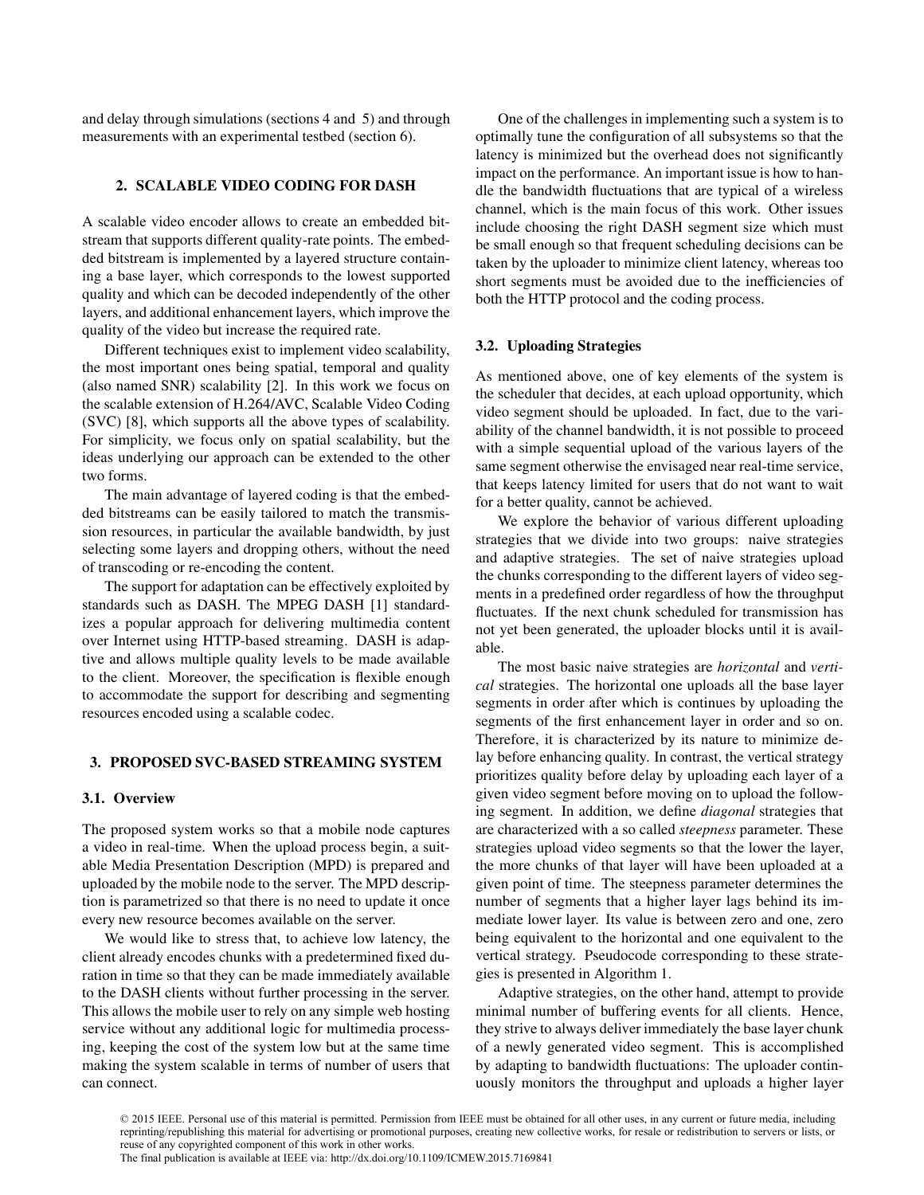and delay through simulations (sections 4 and 5) and through measurements with an experimental testbed (section 6).

## 2. SCALABLE VIDEO CODING FOR DASH

A scalable video encoder allows to create an embedded bitstream that supports different quality-rate points. The embedded bitstream is implemented by a layered structure containing a base layer, which corresponds to the lowest supported quality and which can be decoded independently of the other layers, and additional enhancement layers, which improve the quality of the video but increase the required rate.

Different techniques exist to implement video scalability, the most important ones being spatial, temporal and quality (also named SNR) scalability [2]. In this work we focus on the scalable extension of H.264/AVC, Scalable Video Coding (SVC) [8], which supports all the above types of scalability. For simplicity, we focus only on spatial scalability, but the ideas underlying our approach can be extended to the other two forms.

The main advantage of layered coding is that the embedded bitstreams can be easily tailored to match the transmission resources, in particular the available bandwidth, by just selecting some layers and dropping others, without the need of transcoding or re-encoding the content.

The support for adaptation can be effectively exploited by standards such as DASH. The MPEG DASH [1] standardizes a popular approach for delivering multimedia content over Internet using HTTP-based streaming. DASH is adaptive and allows multiple quality levels to be made available to the client. Moreover, the specification is flexible enough to accommodate the support for describing and segmenting resources encoded using a scalable codec.

# 3. PROPOSED SVC-BASED STREAMING SYSTEM

### 3.1. Overview

The proposed system works so that a mobile node captures a video in real-time. When the upload process begin, a suitable Media Presentation Description (MPD) is prepared and uploaded by the mobile node to the server. The MPD description is parametrized so that there is no need to update it once every new resource becomes available on the server.

We would like to stress that, to achieve low latency, the client already encodes chunks with a predetermined fixed duration in time so that they can be made immediately available to the DASH clients without further processing in the server. This allows the mobile user to rely on any simple web hosting service without any additional logic for multimedia processing, keeping the cost of the system low but at the same time making the system scalable in terms of number of users that can connect.

One of the challenges in implementing such a system is to optimally tune the configuration of all subsystems so that the latency is minimized but the overhead does not significantly impact on the performance. An important issue is how to handle the bandwidth fluctuations that are typical of a wireless channel, which is the main focus of this work. Other issues include choosing the right DASH segment size which must be small enough so that frequent scheduling decisions can be taken by the uploader to minimize client latency, whereas too short segments must be avoided due to the inefficiencies of both the HTTP protocol and the coding process.

### 3.2. Uploading Strategies

As mentioned above, one of key elements of the system is the scheduler that decides, at each upload opportunity, which video segment should be uploaded. In fact, due to the variability of the channel bandwidth, it is not possible to proceed with a simple sequential upload of the various layers of the same segment otherwise the envisaged near real-time service, that keeps latency limited for users that do not want to wait for a better quality, cannot be achieved.

We explore the behavior of various different uploading strategies that we divide into two groups: naive strategies and adaptive strategies. The set of naive strategies upload the chunks corresponding to the different layers of video segments in a predefined order regardless of how the throughput fluctuates. If the next chunk scheduled for transmission has not yet been generated, the uploader blocks until it is available.

The most basic naive strategies are *horizontal* and *vertical* strategies. The horizontal one uploads all the base layer segments in order after which is continues by uploading the segments of the first enhancement layer in order and so on. Therefore, it is characterized by its nature to minimize delay before enhancing quality. In contrast, the vertical strategy prioritizes quality before delay by uploading each layer of a given video segment before moving on to upload the following segment. In addition, we define *diagonal* strategies that are characterized with a so called *steepness* parameter. These strategies upload video segments so that the lower the layer, the more chunks of that layer will have been uploaded at a given point of time. The steepness parameter determines the number of segments that a higher layer lags behind its immediate lower layer. Its value is between zero and one, zero being equivalent to the horizontal and one equivalent to the vertical strategy. Pseudocode corresponding to these strategies is presented in Algorithm 1.

Adaptive strategies, on the other hand, attempt to provide minimal number of buffering events for all clients. Hence, they strive to always deliver immediately the base layer chunk of a newly generated video segment. This is accomplished by adapting to bandwidth fluctuations: The uploader continuously monitors the throughput and uploads a higher layer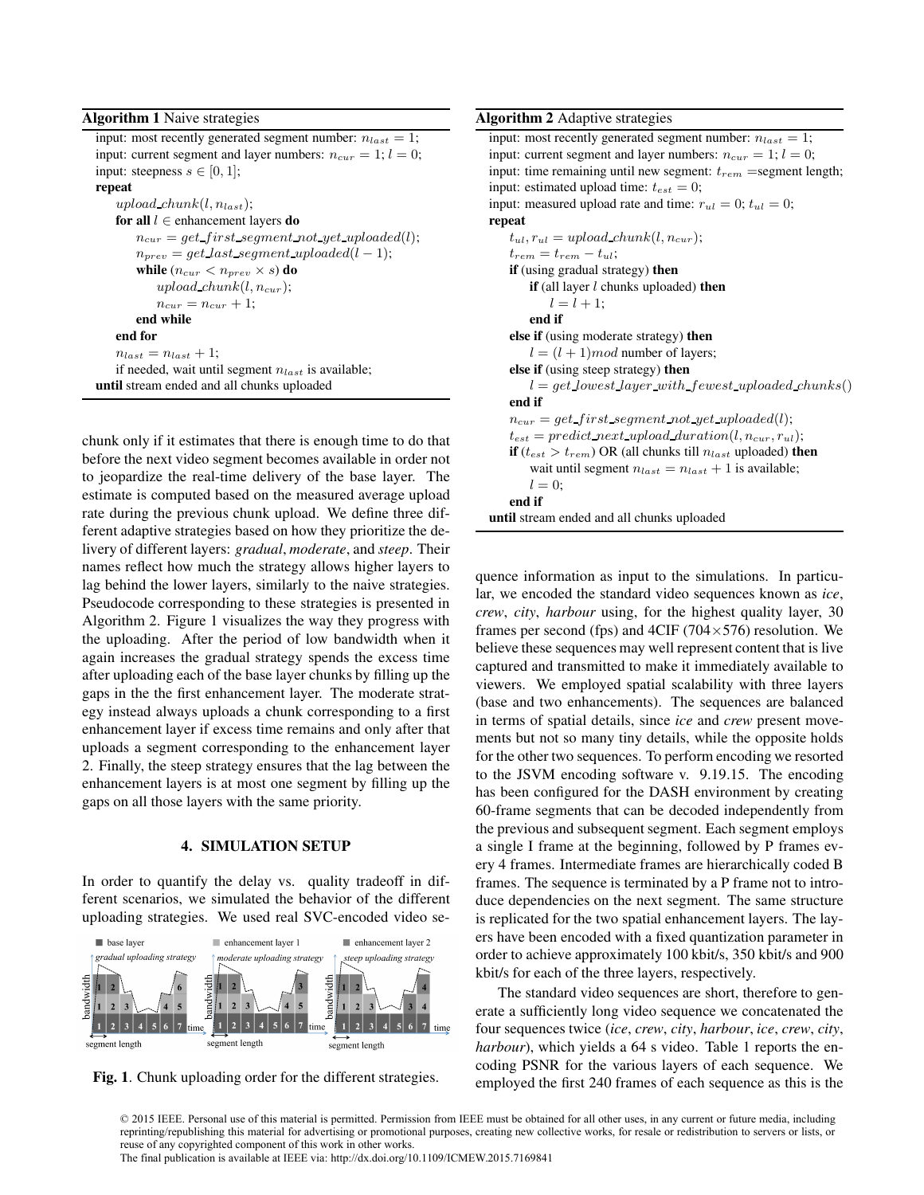### Algorithm 1 Naive strategies

input: most recently generated segment number:  $n_{last} = 1$ ; input: current segment and layer numbers:  $n_{cur} = 1$ ;  $l = 0$ ; input: steepness  $s \in [0, 1]$ ; repeat upload  $chunk(l, n_{last});$ for all  $l \in$  enhancement layers do  $n_{cur} = get\_first\_segment\_not\_yet\_uploaded(l);$  $n_{prev} = get$  last segment uploaded(l – 1); while  $(n_{cur} < n_{prev} \times s)$  do upload  $chunk(l, n_{cur});$  $n_{cur} = n_{cur} + 1;$ end while end for  $n_{last} = n_{last} + 1;$ if needed, wait until segment  $n_{last}$  is available; until stream ended and all chunks uploaded

chunk only if it estimates that there is enough time to do that before the next video segment becomes available in order not to jeopardize the real-time delivery of the base layer. The estimate is computed based on the measured average upload rate during the previous chunk upload. We define three different adaptive strategies based on how they prioritize the delivery of different layers: *gradual*, *moderate*, and *steep*. Their names reflect how much the strategy allows higher layers to lag behind the lower layers, similarly to the naive strategies. Pseudocode corresponding to these strategies is presented in Algorithm 2. Figure 1 visualizes the way they progress with the uploading. After the period of low bandwidth when it again increases the gradual strategy spends the excess time after uploading each of the base layer chunks by filling up the gaps in the the first enhancement layer. The moderate strategy instead always uploads a chunk corresponding to a first enhancement layer if excess time remains and only after that uploads a segment corresponding to the enhancement layer 2. Finally, the steep strategy ensures that the lag between the enhancement layers is at most one segment by filling up the gaps on all those layers with the same priority.

# 4. SIMULATION SETUP

In order to quantify the delay vs. quality tradeoff in different scenarios, we simulated the behavior of the different uploading strategies. We used real SVC-encoded video se-





# Algorithm 2 Adaptive strategies

input: most recently generated segment number:  $n_{last} = 1$ ; input: current segment and layer numbers:  $n_{cur} = 1$ ;  $l = 0$ ; input: time remaining until new segment:  $t_{rem}$  =segment length; input: estimated upload time:  $t_{est} = 0$ ; input: measured upload rate and time:  $r_{ul} = 0$ ;  $t_{ul} = 0$ ; repeat  $t_{ul}, r_{ul} = upload\_chunk(l, n_{cur});$  $t_{rem} = t_{rem} - t_{ul};$ if (using gradual strategy) then if (all layer  $l$  chunks uploaded) then  $l = l + 1$ ; end if else if (using moderate strategy) then  $l = (l + 1)$  mod number of layers; else if (using steep strategy) then  $l = qet_lj$  lowest layer with fewest uploaded chunks() end if  $n_{cur} = get\_first\_segment\_not\_yet\_uploaded(l);$  $t_{est} = predict\_next\_upload\_duration(l, n_{cur}, r_{ul});$ if ( $t_{est} > t_{rem}$ ) OR (all chunks till  $n_{last}$  uploaded) then wait until segment  $n_{last} = n_{last} + 1$  is available;  $l = 0$ ; end if until stream ended and all chunks uploaded

quence information as input to the simulations. In particular, we encoded the standard video sequences known as *ice*, *crew*, *city*, *harbour* using, for the highest quality layer, 30 frames per second (fps) and 4CIF (704 $\times$ 576) resolution. We believe these sequences may well represent content that is live captured and transmitted to make it immediately available to viewers. We employed spatial scalability with three layers (base and two enhancements). The sequences are balanced in terms of spatial details, since *ice* and *crew* present movements but not so many tiny details, while the opposite holds for the other two sequences. To perform encoding we resorted to the JSVM encoding software v. 9.19.15. The encoding has been configured for the DASH environment by creating 60-frame segments that can be decoded independently from the previous and subsequent segment. Each segment employs a single I frame at the beginning, followed by P frames every 4 frames. Intermediate frames are hierarchically coded B frames. The sequence is terminated by a P frame not to introduce dependencies on the next segment. The same structure is replicated for the two spatial enhancement layers. The layers have been encoded with a fixed quantization parameter in order to achieve approximately 100 kbit/s, 350 kbit/s and 900 kbit/s for each of the three layers, respectively.

The standard video sequences are short, therefore to generate a sufficiently long video sequence we concatenated the four sequences twice (*ice*, *crew*, *city*, *harbour*, *ice*, *crew*, *city*, *harbour*), which yields a 64 s video. Table 1 reports the encoding PSNR for the various layers of each sequence. We employed the first 240 frames of each sequence as this is the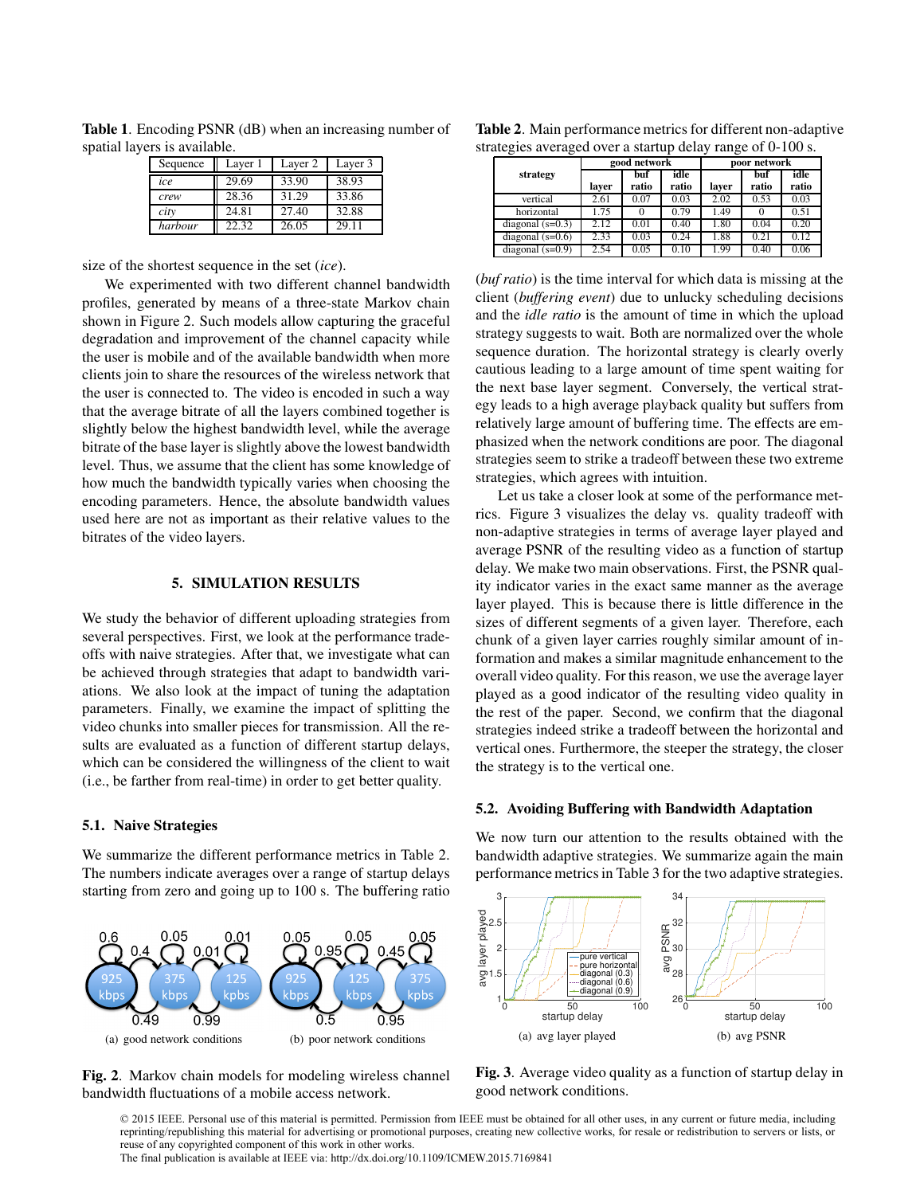| Sequence | Layer 1 | Layer 2 | Layer 3 |
|----------|---------|---------|---------|
| ice      | 29.69   | 33.90   | 38.93   |
| crew     | 28.36   | 31.29   | 33.86   |
| city     | 24.81   | 27.40   | 32.88   |
| harbour  | 22.32   | 26.05   | 29.11   |

Table 1. Encoding PSNR (dB) when an increasing number of spatial layers is available.

size of the shortest sequence in the set (*ice*).

We experimented with two different channel bandwidth profiles, generated by means of a three-state Markov chain shown in Figure 2. Such models allow capturing the graceful degradation and improvement of the channel capacity while the user is mobile and of the available bandwidth when more clients join to share the resources of the wireless network that the user is connected to. The video is encoded in such a way that the average bitrate of all the layers combined together is slightly below the highest bandwidth level, while the average bitrate of the base layer is slightly above the lowest bandwidth level. Thus, we assume that the client has some knowledge of how much the bandwidth typically varies when choosing the encoding parameters. Hence, the absolute bandwidth values used here are not as important as their relative values to the bitrates of the video layers.

# 5. SIMULATION RESULTS

We study the behavior of different uploading strategies from several perspectives. First, we look at the performance tradeoffs with naive strategies. After that, we investigate what can be achieved through strategies that adapt to bandwidth variations. We also look at the impact of tuning the adaptation parameters. Finally, we examine the impact of splitting the video chunks into smaller pieces for transmission. All the results are evaluated as a function of different startup delays, which can be considered the willingness of the client to wait (i.e., be farther from real-time) in order to get better quality.

### 5.1. Naive Strategies

We summarize the different performance metrics in Table 2. The numbers indicate averages over a range of startup delays starting from zero and going up to 100 s. The buffering ratio



Fig. 2. Markov chain models for modeling wireless channel bandwidth fluctuations of a mobile access network.

| Table 2. Main performance metrics for different non-adaptive |
|--------------------------------------------------------------|
| strategies averaged over a startup delay range of 0-100 s.   |

|                    |       | good network |               | poor network |              |               |
|--------------------|-------|--------------|---------------|--------------|--------------|---------------|
| strategy           | laver | buf<br>ratio | idle<br>ratio | laver        | buf<br>ratio | idle<br>ratio |
| vertical           | 2.61  | 0.07         | 0.03          | 2.02         | 0.53         | 0.03          |
| horizontal         | 1.75  |              | 0.79          | 1.49         |              | 0.51          |
| diagonal $(s=0.3)$ | 2.12  | 0.01         | 0.40          | 1.80         | 0.04         | 0.20          |
| diagonal $(s=0.6)$ | 2.33  | 0.03         | 0.24          | 1.88         | 0.21         | 0.12          |
| diagonal $(s=0.9)$ | 2.54  | 0.05         | 0.10          | 1.99         | 0.40         | 0.06          |

(*buf ratio*) is the time interval for which data is missing at the client (*buffering event*) due to unlucky scheduling decisions and the *idle ratio* is the amount of time in which the upload strategy suggests to wait. Both are normalized over the whole sequence duration. The horizontal strategy is clearly overly cautious leading to a large amount of time spent waiting for the next base layer segment. Conversely, the vertical strategy leads to a high average playback quality but suffers from relatively large amount of buffering time. The effects are emphasized when the network conditions are poor. The diagonal strategies seem to strike a tradeoff between these two extreme strategies, which agrees with intuition.

Let us take a closer look at some of the performance metrics. Figure 3 visualizes the delay vs. quality tradeoff with non-adaptive strategies in terms of average layer played and average PSNR of the resulting video as a function of startup delay. We make two main observations. First, the PSNR quality indicator varies in the exact same manner as the average layer played. This is because there is little difference in the sizes of different segments of a given layer. Therefore, each chunk of a given layer carries roughly similar amount of information and makes a similar magnitude enhancement to the overall video quality. For this reason, we use the average layer played as a good indicator of the resulting video quality in the rest of the paper. Second, we confirm that the diagonal strategies indeed strike a tradeoff between the horizontal and vertical ones. Furthermore, the steeper the strategy, the closer the strategy is to the vertical one.

### 5.2. Avoiding Buffering with Bandwidth Adaptation

We now turn our attention to the results obtained with the bandwidth adaptive strategies. We summarize again the main performance metrics in Table 3 for the two adaptive strategies.



Fig. 3. Average video quality as a function of startup delay in good network conditions.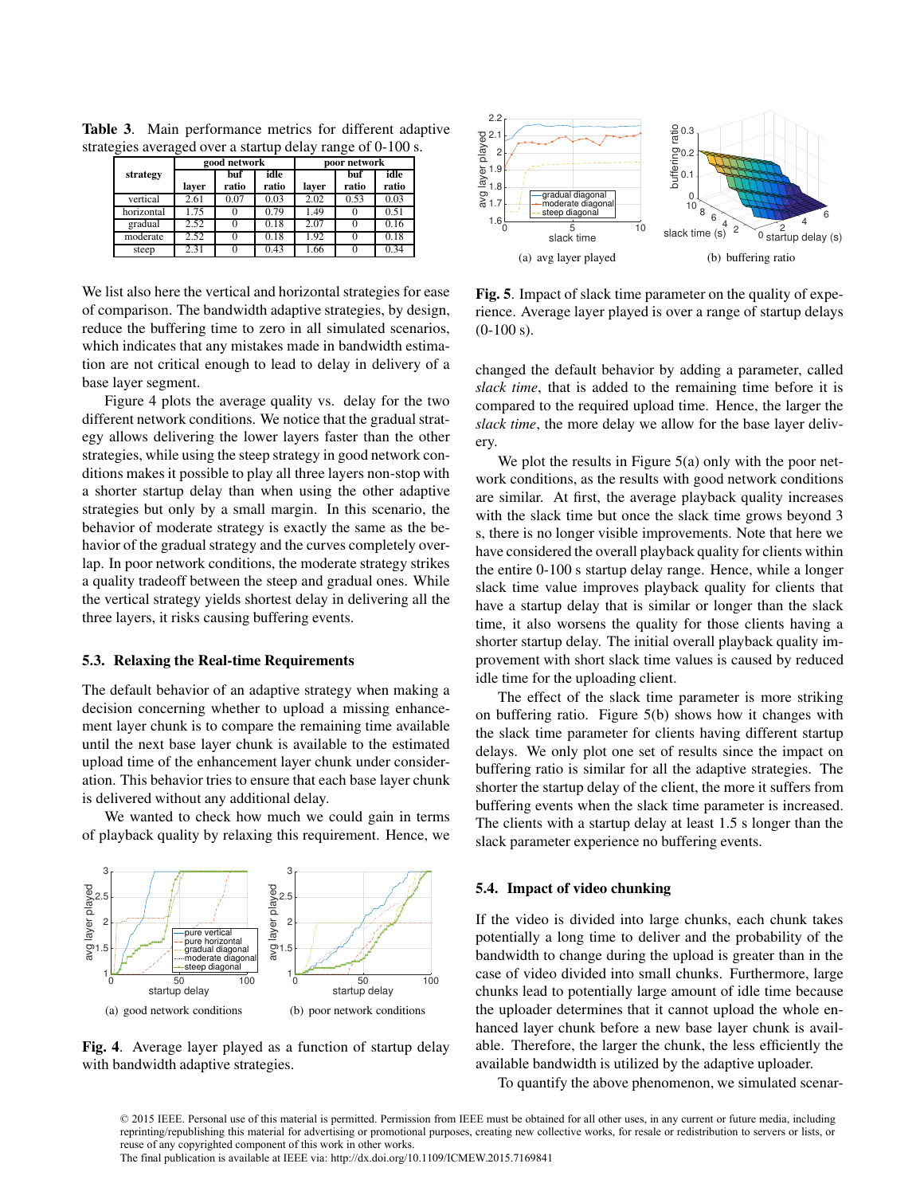|            | good network |              |               | poor network |              |               |  |
|------------|--------------|--------------|---------------|--------------|--------------|---------------|--|
| strategy   | laver        | buť<br>ratio | idle<br>ratio | laver        | buf<br>ratio | idle<br>ratio |  |
| vertical   | 2.61         | 0.07         | 0.03          | 2.02         | 0.53         | 0.03          |  |
| horizontal | 1.75         |              | 0.79          | 1.49         |              | 0.51          |  |
| gradual    | 2.52         |              | 0.18          | 2.07         |              | 0.16          |  |
| moderate   | 2.52         |              | 0.18          | 1.92         |              | 0.18          |  |
| steep      | 2.31         |              | 0.43          | 1.66         |              | 0.34          |  |

Table 3. Main performance metrics for different adaptive strategies averaged over a startup delay range of 0-100 s.

We list also here the vertical and horizontal strategies for ease of comparison. The bandwidth adaptive strategies, by design, reduce the buffering time to zero in all simulated scenarios, which indicates that any mistakes made in bandwidth estimation are not critical enough to lead to delay in delivery of a base layer segment.

Figure 4 plots the average quality vs. delay for the two different network conditions. We notice that the gradual strategy allows delivering the lower layers faster than the other strategies, while using the steep strategy in good network conditions makes it possible to play all three layers non-stop with a shorter startup delay than when using the other adaptive strategies but only by a small margin. In this scenario, the behavior of moderate strategy is exactly the same as the behavior of the gradual strategy and the curves completely overlap. In poor network conditions, the moderate strategy strikes a quality tradeoff between the steep and gradual ones. While the vertical strategy yields shortest delay in delivering all the three layers, it risks causing buffering events.

#### 5.3. Relaxing the Real-time Requirements

The default behavior of an adaptive strategy when making a decision concerning whether to upload a missing enhancement layer chunk is to compare the remaining time available until the next base layer chunk is available to the estimated upload time of the enhancement layer chunk under consideration. This behavior tries to ensure that each base layer chunk is delivered without any additional delay.

We wanted to check how much we could gain in terms of playback quality by relaxing this requirement. Hence, we



Fig. 4. Average layer played as a function of startup delay with bandwidth adaptive strategies.



Fig. 5. Impact of slack time parameter on the quality of experience. Average layer played is over a range of startup delays  $(0-100 s)$ .

changed the default behavior by adding a parameter, called *slack time*, that is added to the remaining time before it is compared to the required upload time. Hence, the larger the *slack time*, the more delay we allow for the base layer delivery.

We plot the results in Figure 5(a) only with the poor network conditions, as the results with good network conditions are similar. At first, the average playback quality increases with the slack time but once the slack time grows beyond 3 s, there is no longer visible improvements. Note that here we have considered the overall playback quality for clients within the entire 0-100 s startup delay range. Hence, while a longer slack time value improves playback quality for clients that have a startup delay that is similar or longer than the slack time, it also worsens the quality for those clients having a shorter startup delay. The initial overall playback quality improvement with short slack time values is caused by reduced idle time for the uploading client.

The effect of the slack time parameter is more striking on buffering ratio. Figure 5(b) shows how it changes with the slack time parameter for clients having different startup delays. We only plot one set of results since the impact on buffering ratio is similar for all the adaptive strategies. The shorter the startup delay of the client, the more it suffers from buffering events when the slack time parameter is increased. The clients with a startup delay at least 1.5 s longer than the slack parameter experience no buffering events.

#### 5.4. Impact of video chunking

If the video is divided into large chunks, each chunk takes potentially a long time to deliver and the probability of the bandwidth to change during the upload is greater than in the case of video divided into small chunks. Furthermore, large chunks lead to potentially large amount of idle time because the uploader determines that it cannot upload the whole enhanced layer chunk before a new base layer chunk is available. Therefore, the larger the chunk, the less efficiently the available bandwidth is utilized by the adaptive uploader.

To quantify the above phenomenon, we simulated scenar-